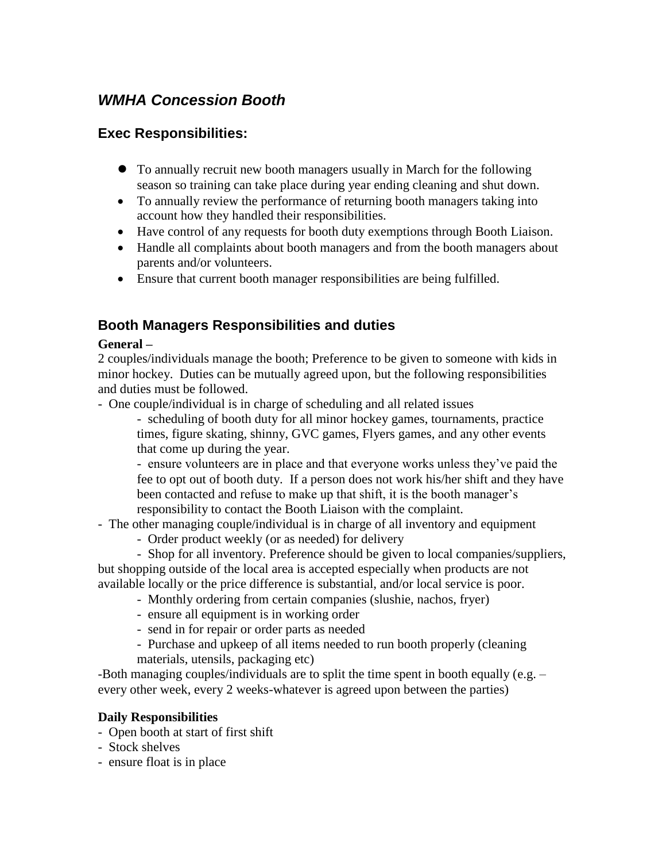# *WMHA Concession Booth*

# **Exec Responsibilities:**

- To annually recruit new booth managers usually in March for the following season so training can take place during year ending cleaning and shut down.
- To annually review the performance of returning booth managers taking into account how they handled their responsibilities.
- Have control of any requests for booth duty exemptions through Booth Liaison.
- Handle all complaints about booth managers and from the booth managers about parents and/or volunteers.
- Ensure that current booth manager responsibilities are being fulfilled.

# **Booth Managers Responsibilities and duties**

## **General –**

2 couples/individuals manage the booth; Preference to be given to someone with kids in minor hockey. Duties can be mutually agreed upon, but the following responsibilities and duties must be followed.

- One couple/individual is in charge of scheduling and all related issues

- scheduling of booth duty for all minor hockey games, tournaments, practice times, figure skating, shinny, GVC games, Flyers games, and any other events that come up during the year.

- ensure volunteers are in place and that everyone works unless they've paid the fee to opt out of booth duty. If a person does not work his/her shift and they have been contacted and refuse to make up that shift, it is the booth manager's responsibility to contact the Booth Liaison with the complaint.

- The other managing couple/individual is in charge of all inventory and equipment

- Order product weekly (or as needed) for delivery

- Shop for all inventory. Preference should be given to local companies/suppliers, but shopping outside of the local area is accepted especially when products are not available locally or the price difference is substantial, and/or local service is poor.

- Monthly ordering from certain companies (slushie, nachos, fryer)
- ensure all equipment is in working order
- send in for repair or order parts as needed
- Purchase and upkeep of all items needed to run booth properly (cleaning materials, utensils, packaging etc)

-Both managing couples/individuals are to split the time spent in booth equally (e.g. – every other week, every 2 weeks-whatever is agreed upon between the parties)

## **Daily Responsibilities**

- Open booth at start of first shift
- Stock shelves
- ensure float is in place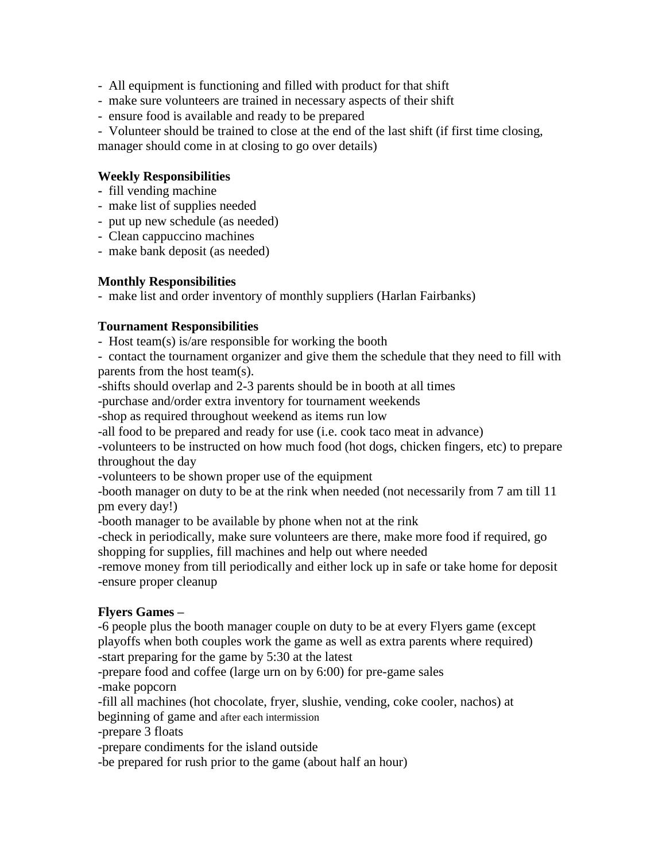- All equipment is functioning and filled with product for that shift
- make sure volunteers are trained in necessary aspects of their shift
- ensure food is available and ready to be prepared

- Volunteer should be trained to close at the end of the last shift (if first time closing, manager should come in at closing to go over details)

#### **Weekly Responsibilities**

- fill vending machine
- make list of supplies needed
- put up new schedule (as needed)
- Clean cappuccino machines
- make bank deposit (as needed)

#### **Monthly Responsibilities**

- make list and order inventory of monthly suppliers (Harlan Fairbanks)

#### **Tournament Responsibilities**

- Host team(s) is/are responsible for working the booth

- contact the tournament organizer and give them the schedule that they need to fill with parents from the host team(s).

-shifts should overlap and 2-3 parents should be in booth at all times

-purchase and/order extra inventory for tournament weekends

-shop as required throughout weekend as items run low

-all food to be prepared and ready for use (i.e. cook taco meat in advance)

-volunteers to be instructed on how much food (hot dogs, chicken fingers, etc) to prepare throughout the day

-volunteers to be shown proper use of the equipment

-booth manager on duty to be at the rink when needed (not necessarily from 7 am till 11 pm every day!)

-booth manager to be available by phone when not at the rink

-check in periodically, make sure volunteers are there, make more food if required, go shopping for supplies, fill machines and help out where needed

-remove money from till periodically and either lock up in safe or take home for deposit -ensure proper cleanup

#### **Flyers Games –**

-6 people plus the booth manager couple on duty to be at every Flyers game (except playoffs when both couples work the game as well as extra parents where required) -start preparing for the game by 5:30 at the latest

-prepare food and coffee (large urn on by 6:00) for pre-game sales

-make popcorn

-fill all machines (hot chocolate, fryer, slushie, vending, coke cooler, nachos) at beginning of game and after each intermission

-prepare 3 floats

-prepare condiments for the island outside

-be prepared for rush prior to the game (about half an hour)